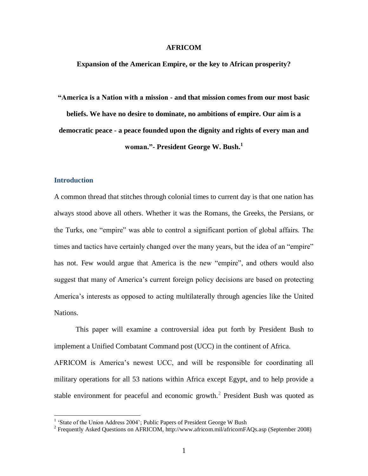## **AFRICOM**

**Expansion of the American Empire, or the key to African prosperity?**

**"America is a Nation with a mission - and that mission comes from our most basic beliefs. We have no desire to dominate, no ambitions of empire. Our aim is a democratic peace - a peace founded upon the dignity and rights of every man and woman."- President George W. Bush.<sup>1</sup>**

## **Introduction**

A common thread that stitches through colonial times to current day is that one nation has always stood above all others. Whether it was the Romans, the Greeks, the Persians, or the Turks, one "empire" was able to control a significant portion of global affairs. The times and tactics have certainly changed over the many years, but the idea of an "empire" has not. Few would argue that America is the new "empire", and others would also suggest that many of America's current foreign policy decisions are based on protecting America"s interests as opposed to acting multilaterally through agencies like the United Nations.

This paper will examine a controversial idea put forth by President Bush to implement a Unified Combatant Command post (UCC) in the continent of Africa.

AFRICOM is America's newest UCC, and will be responsible for coordinating all military operations for all 53 nations within Africa except Egypt, and to help provide a stable environment for peaceful and economic growth. $2$  President Bush was quoted as

 1 "State of the Union Address 2004"; Public Papers of President George W Bush

<sup>&</sup>lt;sup>2</sup> Frequently Asked Questions on AFRICOM,<http://www.africom.mil/africomFAQs.asp> (September 2008)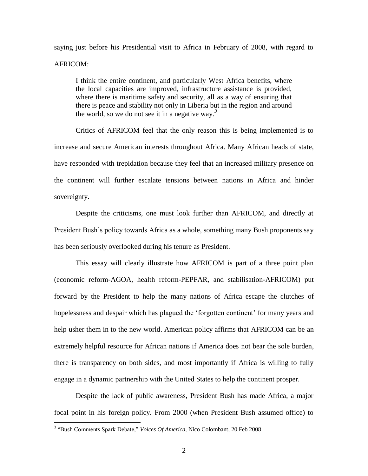saying just before his Presidential visit to Africa in February of 2008, with regard to AFRICOM:

I think the entire continent, and particularly West Africa benefits, where the local capacities are improved, infrastructure assistance is provided, where there is maritime safety and security, all as a way of ensuring that there is peace and stability not only in Liberia but in the region and around the world, so we do not see it in a negative way*. 3*

Critics of AFRICOM feel that the only reason this is being implemented is to increase and secure American interests throughout Africa. Many African heads of state, have responded with trepidation because they feel that an increased military presence on the continent will further escalate tensions between nations in Africa and hinder sovereignty.

Despite the criticisms, one must look further than AFRICOM, and directly at President Bush"s policy towards Africa as a whole, something many Bush proponents say has been seriously overlooked during his tenure as President.

This essay will clearly illustrate how AFRICOM is part of a three point plan (economic reform-AGOA, health reform-PEPFAR, and stabilisation-AFRICOM) put forward by the President to help the many nations of Africa escape the clutches of hopelessness and despair which has plagued the 'forgotten continent' for many years and help usher them in to the new world. American policy affirms that AFRICOM can be an extremely helpful resource for African nations if America does not bear the sole burden, there is transparency on both sides, and most importantly if Africa is willing to fully engage in a dynamic partnership with the United States to help the continent prosper.

Despite the lack of public awareness, President Bush has made Africa, a major focal point in his foreign policy. From 2000 (when President Bush assumed office) to

<sup>3</sup> "Bush Comments Spark Debate," *Voices Of America,* Nico Colombant, 20 Feb 2008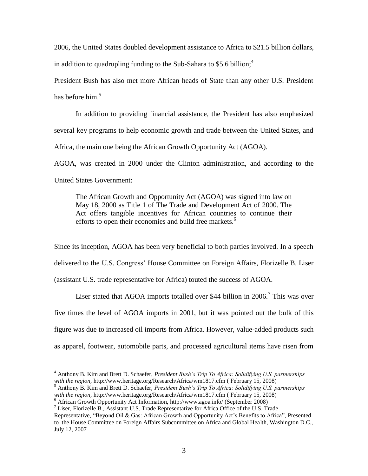2006, the United States doubled development assistance to Africa to \$21.5 billion dollars,

in addition to quadrupling funding to the Sub-Sahara to \$5.6 billion;<sup>4</sup>

President Bush has also met more African heads of State than any other U.S. President has before him. $5$ 

In addition to providing financial assistance, the President has also emphasized several key programs to help economic growth and trade between the United States, and Africa, the main one being the African Growth Opportunity Act (AGOA).

AGOA, was created in 2000 under the Clinton administration, and according to the United States Government:

The African Growth and Opportunity Act (AGOA) was signed into law on May 18, 2000 as Title 1 of The Trade and Development Act of 2000. The Act offers tangible incentives for African countries to continue their efforts to open their economies and build free markets.<sup>6</sup>

Since its inception, AGOA has been very beneficial to both parties involved. In a speech delivered to the U.S. Congress' House Committee on Foreign Affairs, Florizelle B. Liser (assistant U.S. trade representative for Africa) touted the success of AGOA.

Liser stated that AGOA imports totalled over \$44 billion in 2006.<sup>7</sup> This was over five times the level of AGOA imports in 2001, but it was pointed out the bulk of this figure was due to increased oil imports from Africa. However, value-added products such as apparel, footwear, automobile parts, and processed agricultural items have risen from

<sup>4</sup> Anthony B. Kim and Brett D. Schaefer, *President Bush's Trip To Africa: Solidifying U.S. partnerships with the region,* <http://www.heritage.org/Research/Africa/wm1817.cfm> ( February 15, 2008)

<sup>5</sup> Anthony B. Kim and Brett D. Schaefer, *President Bush's Trip To Africa: Solidifying U.S. partnerships with the region,* <http://www.heritage.org/Research/Africa/wm1817.cfm> ( February 15, 2008)

<sup>6</sup> African Growth Opportunity Act Information,<http://www.agoa.info/> (September 2008)

<sup>&</sup>lt;sup>7</sup> Liser, Florizelle B., Assistant U.S. Trade Representative for Africa Office of the U.S. Trade

Representative, "Beyond Oil & Gas: African Growth and Opportunity Act's Benefits to Africa", Presented to the House Committee on Foreign Affairs Subcommittee on Africa and Global Health, Washington D.C., July 12, 2007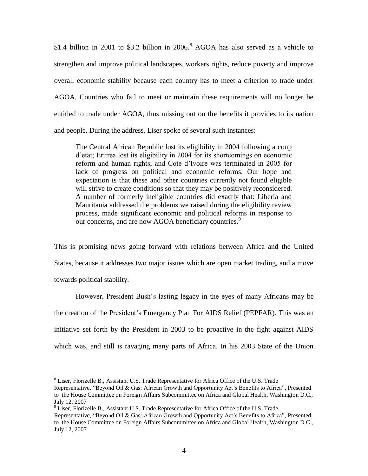\$1.4 billion in 2001 to \$3.2 billion in  $2006$ .<sup>8</sup> AGOA has also served as a vehicle to strengthen and improve political landscapes, workers rights, reduce poverty and improve overall economic stability because each country has to meet a criterion to trade under AGOA. Countries who fail to meet or maintain these requirements will no longer be entitled to trade under AGOA, thus missing out on the benefits it provides to its nation and people. During the address, Liser spoke of several such instances:

The Central African Republic lost its eligibility in 2004 following a coup d"etat; Eritrea lost its eligibility in 2004 for its shortcomings on economic reform and human rights; and Cote d"Ivoire was terminated in 2005 for lack of progress on political and economic reforms. Our hope and expectation is that these and other countries currently not found eligible will strive to create conditions so that they may be positively reconsidered. A number of formerly ineligible countries did exactly that: Liberia and Mauritania addressed the problems we raised during the eligibility review process, made significant economic and political reforms in response to our concerns, and are now AGOA beneficiary countries.<sup>9</sup>

This is promising news going forward with relations between Africa and the United States, because it addresses two major issues which are open market trading, and a move towards political stability.

However, President Bush"s lasting legacy in the eyes of many Africans may be the creation of the President"s Emergency Plan For AIDS Relief (PEPFAR). This was an initiative set forth by the President in 2003 to be proactive in the fight against AIDS which was, and still is ravaging many parts of Africa. In his 2003 State of the Union

<sup>&</sup>lt;sup>8</sup> Liser, Florizelle B., Assistant U.S. Trade Representative for Africa Office of the U.S. Trade

Representative, "Beyond Oil & Gas: African Growth and Opportunity Act's Benefits to Africa", Presented to the House Committee on Foreign Affairs Subcommittee on Africa and Global Health, Washington D.C., July 12, 2007

<sup>&</sup>lt;sup>9</sup> Liser, Florizelle B., Assistant U.S. Trade Representative for Africa Office of the U.S. Trade

Representative, "Beyond Oil & Gas: African Growth and Opportunity Act's Benefits to Africa", Presented to the House Committee on Foreign Affairs Subcommittee on Africa and Global Health, Washington D.C., July 12, 2007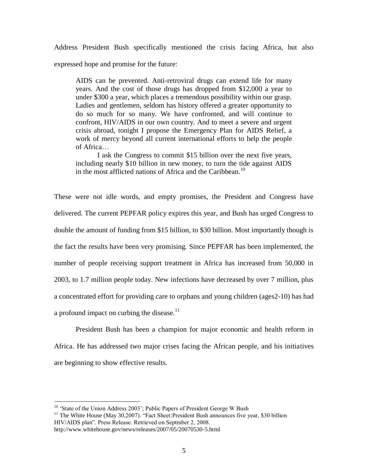Address President Bush specifically mentioned the crisis facing Africa, but also expressed hope and promise for the future:

AIDS can be prevented. Anti-retroviral drugs can extend life for many years. And the cost of those drugs has dropped from \$12,000 a year to under \$300 a year, which places a tremendous possibility within our grasp. Ladies and gentlemen, seldom has history offered a greater opportunity to do so much for so many. We have confronted, and will continue to confront, HIV/AIDS in our own country. And to meet a severe and urgent crisis abroad, tonight I propose the Emergency Plan for AIDS Relief, a work of mercy beyond all current international efforts to help the people of Africa…

I ask the Congress to commit \$15 billion over the next five years, including nearly \$10 billion in new money, to turn the tide against AIDS in the most afflicted nations of Africa and the Caribbean.<sup>10</sup>

These were not idle words, and empty promises, the President and Congress have delivered. The current PEPFAR policy expires this year, and Bush has urged Congress to double the amount of funding from \$15 billion, to \$30 billion. Most importantly though is the fact the results have been very promising. Since PEPFAR has been implemented, the number of people receiving support treatment in Africa has increased from 50,000 in 2003, to 1.7 million people today. New infections have decreased by over 7 million, plus a concentrated effort for providing care to orphans and young children (ages2-10) has had a profound impact on curbing the disease. $11$ 

President Bush has been a champion for major economic and health reform in Africa. He has addressed two major crises facing the African people, and his initiatives are beginning to show effective results.

<sup>&</sup>lt;sup>10</sup> 'State of the Union Address 2003'; Public Papers of President George W Bush

 $11$  The White House (May 30,2007). "Fact Sheet: President Bush announces five year, \$30 billion HIV/AIDS plan". Press Release. Retrieved on Septmber 2, 2008.

http://www.whitehouse.gov/news/releases/2007/05/20070530-5.html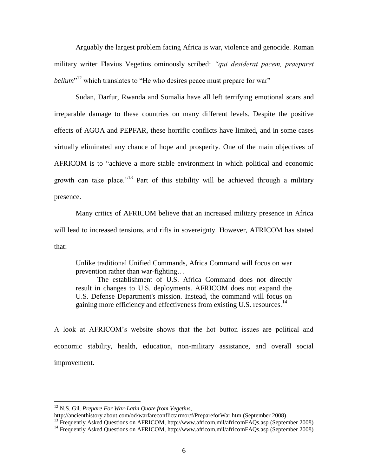Arguably the largest problem facing Africa is war, violence and genocide. Roman military writer Flavius Vegetius ominously scribed: *"qui desiderat pacem, praeparet bellum*<sup>"12</sup> which translates to "He who desires peace must prepare for war"

Sudan, Darfur, Rwanda and Somalia have all left terrifying emotional scars and irreparable damage to these countries on many different levels. Despite the positive effects of AGOA and PEPFAR, these horrific conflicts have limited, and in some cases virtually eliminated any chance of hope and prosperity. One of the main objectives of AFRICOM is to "achieve a more stable environment in which political and economic growth can take place."<sup>13</sup> Part of this stability will be achieved through a military presence.

Many critics of AFRICOM believe that an increased military presence in Africa will lead to increased tensions, and rifts in sovereignty. However, AFRICOM has stated that:

Unlike traditional Unified Commands, Africa Command will focus on war prevention rather than war-fighting…

The establishment of U.S. Africa Command does not directly result in changes to U.S. deployments. AFRICOM does not expand the U.S. Defense Department's mission. Instead, the command will focus on gaining more efficiency and effectiveness from existing U.S. resources.<sup>14</sup>

A look at AFRICOM"s website shows that the hot button issues are political and economic stability, health, education, non-military assistance, and overall social improvement.

<sup>12</sup> N.S. Gil, *Prepare For War-Latin Quote from Vegetius,* 

<http://ancienthistory.about.com/od/warfareconflictarmor/f/PrepareforWar.htm> (September 2008)

<sup>&</sup>lt;sup>13</sup> Frequently Asked Questions on AFRICOM[, http://www.africom.mil/africomFAQs.asp](http://www.africom.mil/africomFAQs.asp) (September 2008)

<sup>&</sup>lt;sup>14</sup> Frequently Asked Questions on AFRICOM[, http://www.africom.mil/africomFAQs.asp](http://www.africom.mil/africomFAQs.asp) (September 2008)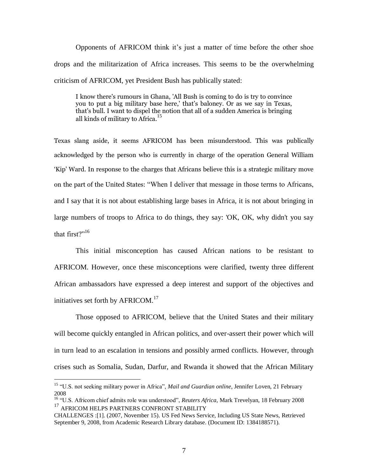Opponents of AFRICOM think it's just a matter of time before the other shoe drops and the militarization of Africa increases. This seems to be the overwhelming criticism of AFRICOM, yet President Bush has publically stated:

I know there's rumours in Ghana, 'All Bush is coming to do is try to convince you to put a big military base here,' that's baloney. Or as we say in Texas, that's bull. I want to dispel the notion that all of a sudden America is bringing all kinds of military to Africa.<sup>15</sup>

Texas slang aside, it seems AFRICOM has been misunderstood. This was publically acknowledged by the person who is currently in charge of the operation General William 'Kip' Ward. In response to the charges that Africans believe this is a strategic military move on the part of the United States: "When I deliver that message in those terms to Africans, and I say that it is not about establishing large bases in Africa, it is not about bringing in large numbers of troops to Africa to do things, they say: 'OK, OK, why didn't you say that first?" $16$ 

This initial misconception has caused African nations to be resistant to AFRICOM. However, once these misconceptions were clarified, twenty three different African ambassadors have expressed a deep interest and support of the objectives and initiatives set forth by AFRICOM.<sup>17</sup>

Those opposed to AFRICOM, believe that the United States and their military will become quickly entangled in African politics, and over-assert their power which will in turn lead to an escalation in tensions and possibly armed conflicts. However, through crises such as Somalia, Sudan, Darfur, and Rwanda it showed that the African Military

<sup>&</sup>lt;sup>15</sup> "U.S. not seeking military power in Africa", *Mail and Guardian online*, Jennifer Loven, 21 February 2008

<sup>&</sup>lt;sup>16</sup> "U.S. Africom chief admits role was understood", *Reuters Africa*, Mark Trevelyan, 18 February 2008 <sup>17</sup> AFRICOM HELPS PARTNERS CONFRONT STABILITY

CHALLENGES :[1]. (2007, November 15). US Fed News Service, Including US State News, Retrieved September 9, 2008, from Academic Research Library database. (Document ID: 1384188571).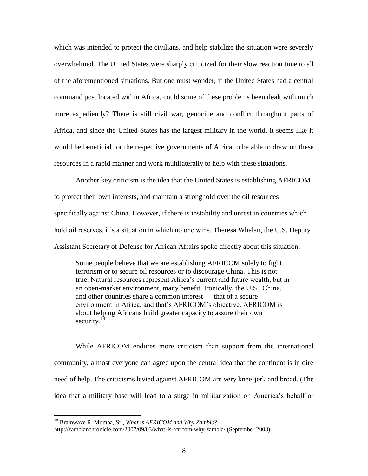which was intended to protect the civilians, and help stabilize the situation were severely overwhelmed. The United States were sharply criticized for their slow reaction time to all of the aforementioned situations. But one must wonder, if the United States had a central command post located within Africa, could some of these problems been dealt with much more expediently? There is still civil war, genocide and conflict throughout parts of Africa, and since the United States has the largest military in the world, it seems like it would be beneficial for the respective governments of Africa to be able to draw on these resources in a rapid manner and work multilaterally to help with these situations.

Another key criticism is the idea that the United States is establishing AFRICOM to protect their own interests, and maintain a stronghold over the oil resources specifically against China. However, if there is instability and unrest in countries which hold oil reserves, it's a situation in which no one wins. Theresa Whelan, the U.S. Deputy Assistant Secretary of Defense for African Affairs spoke directly about this situation:

Some people believe that we are establishing AFRICOM solely to fight terrorism or to secure oil resources or to discourage China. This is not true. Natural resources represent Africa"s current and future wealth, but in an open-market environment, many benefit. Ironically, the U.S., China, and other countries share a common interest — that of a secure environment in Africa, and that"s AFRICOM"s objective. AFRICOM is about helping Africans build greater capacity to assure their own security. $1$ 

While AFRICOM endures more criticism than support from the international community, almost everyone can agree upon the central idea that the continent is in dire need of help. The criticisms levied against AFRICOM are very knee-jerk and broad. (The idea that a military base will lead to a surge in militarization on America"s behalf or

<sup>18</sup> Brainwave R. Mumba, Sr., *What is AFRICOM and Why Zambia*?,

<http://zambianchronicle.com/2007/09/03/what-is-africom-why-zambia/> (September 2008)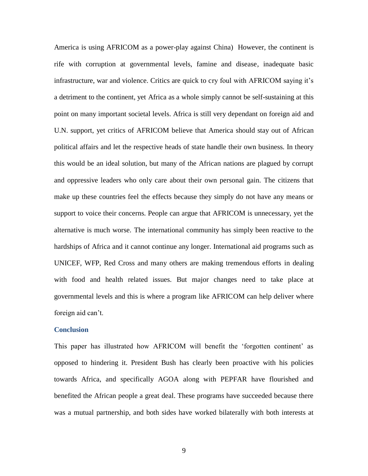America is using AFRICOM as a power-play against China) However, the continent is rife with corruption at governmental levels, famine and disease, inadequate basic infrastructure, war and violence. Critics are quick to cry foul with AFRICOM saying it"s a detriment to the continent, yet Africa as a whole simply cannot be self-sustaining at this point on many important societal levels. Africa is still very dependant on foreign aid and U.N. support, yet critics of AFRICOM believe that America should stay out of African political affairs and let the respective heads of state handle their own business. In theory this would be an ideal solution, but many of the African nations are plagued by corrupt and oppressive leaders who only care about their own personal gain. The citizens that make up these countries feel the effects because they simply do not have any means or support to voice their concerns. People can argue that AFRICOM is unnecessary, yet the alternative is much worse. The international community has simply been reactive to the hardships of Africa and it cannot continue any longer. International aid programs such as UNICEF, WFP, Red Cross and many others are making tremendous efforts in dealing with food and health related issues. But major changes need to take place at governmental levels and this is where a program like AFRICOM can help deliver where foreign aid can't.

## **Conclusion**

This paper has illustrated how AFRICOM will benefit the "forgotten continent" as opposed to hindering it. President Bush has clearly been proactive with his policies towards Africa, and specifically AGOA along with PEPFAR have flourished and benefited the African people a great deal. These programs have succeeded because there was a mutual partnership, and both sides have worked bilaterally with both interests at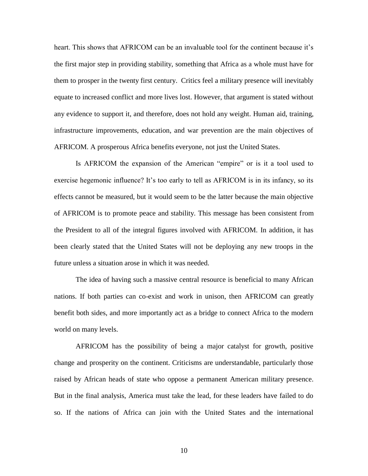heart. This shows that AFRICOM can be an invaluable tool for the continent because it's the first major step in providing stability, something that Africa as a whole must have for them to prosper in the twenty first century. Critics feel a military presence will inevitably equate to increased conflict and more lives lost. However, that argument is stated without any evidence to support it, and therefore, does not hold any weight. Human aid, training, infrastructure improvements, education, and war prevention are the main objectives of AFRICOM. A prosperous Africa benefits everyone, not just the United States.

Is AFRICOM the expansion of the American "empire" or is it a tool used to exercise hegemonic influence? It's too early to tell as AFRICOM is in its infancy, so its effects cannot be measured, but it would seem to be the latter because the main objective of AFRICOM is to promote peace and stability. This message has been consistent from the President to all of the integral figures involved with AFRICOM. In addition, it has been clearly stated that the United States will not be deploying any new troops in the future unless a situation arose in which it was needed.

The idea of having such a massive central resource is beneficial to many African nations. If both parties can co-exist and work in unison, then AFRICOM can greatly benefit both sides, and more importantly act as a bridge to connect Africa to the modern world on many levels.

AFRICOM has the possibility of being a major catalyst for growth, positive change and prosperity on the continent. Criticisms are understandable, particularly those raised by African heads of state who oppose a permanent American military presence. But in the final analysis, America must take the lead, for these leaders have failed to do so. If the nations of Africa can join with the United States and the international